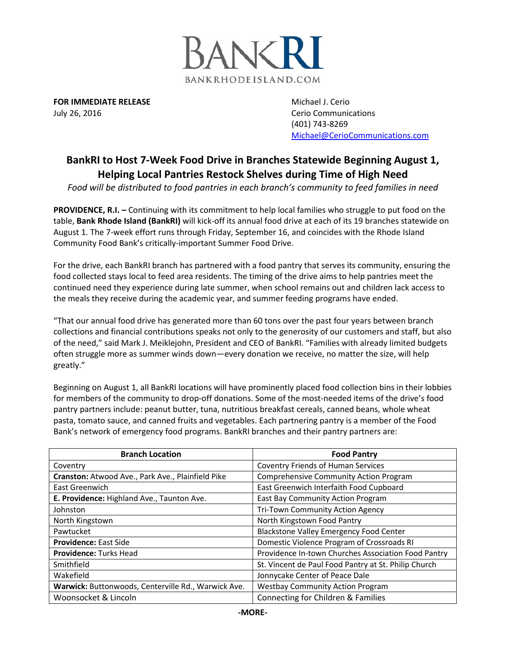

**FOR IMMEDIATE RELEASE Michael J. Cerio Michael J. Cerio** July 26, 2016 **Cerio Communications** Cerio Communications

(401) 743-8269 [Michael@CerioCommunications.com](mailto:Michael@CerioCommunications.com)

## **BankRI to Host 7-Week Food Drive in Branches Statewide Beginning August 1, Helping Local Pantries Restock Shelves during Time of High Need**

*Food will be distributed to food pantries in each branch's community to feed families in need*

**PROVIDENCE, R.I. –** Continuing with its commitment to help local families who struggle to put food on the table, **Bank Rhode Island (BankRI)** will kick-off its annual food drive at each of its 19 branches statewide on August 1. The 7-week effort runs through Friday, September 16, and coincides with the Rhode Island Community Food Bank's critically-important Summer Food Drive.

For the drive, each BankRI branch has partnered with a food pantry that serves its community, ensuring the food collected stays local to feed area residents. The timing of the drive aims to help pantries meet the continued need they experience during late summer, when school remains out and children lack access to the meals they receive during the academic year, and summer feeding programs have ended.

"That our annual food drive has generated more than 60 tons over the past four years between branch collections and financial contributions speaks not only to the generosity of our customers and staff, but also of the need," said Mark J. Meiklejohn, President and CEO of BankRI. "Families with already limited budgets often struggle more as summer winds down—every donation we receive, no matter the size, will help greatly."

Beginning on August 1, all BankRI locations will have prominently placed food collection bins in their lobbies for members of the community to drop-off donations. Some of the most-needed items of the drive's food pantry partners include: peanut butter, tuna, nutritious breakfast cereals, canned beans, whole wheat pasta, tomato sauce, and canned fruits and vegetables. Each partnering pantry is a member of the Food Bank's network of emergency food programs. BankRI branches and their pantry partners are:

| <b>Branch Location</b>                              | <b>Food Pantry</b>                                   |
|-----------------------------------------------------|------------------------------------------------------|
| Coventry                                            | <b>Coventry Friends of Human Services</b>            |
| Cranston: Atwood Ave., Park Ave., Plainfield Pike   | <b>Comprehensive Community Action Program</b>        |
| East Greenwich                                      | East Greenwich Interfaith Food Cupboard              |
| E. Providence: Highland Ave., Taunton Ave.          | East Bay Community Action Program                    |
| Johnston                                            | Tri-Town Community Action Agency                     |
| North Kingstown                                     | North Kingstown Food Pantry                          |
| Pawtucket                                           | <b>Blackstone Valley Emergency Food Center</b>       |
| <b>Providence: East Side</b>                        | Domestic Violence Program of Crossroads RI           |
| <b>Providence: Turks Head</b>                       | Providence In-town Churches Association Food Pantry  |
| Smithfield                                          | St. Vincent de Paul Food Pantry at St. Philip Church |
| Wakefield                                           | Jonnycake Center of Peace Dale                       |
| Warwick: Buttonwoods, Centerville Rd., Warwick Ave. | <b>Westbay Community Action Program</b>              |
| Woonsocket & Lincoln                                | Connecting for Children & Families                   |